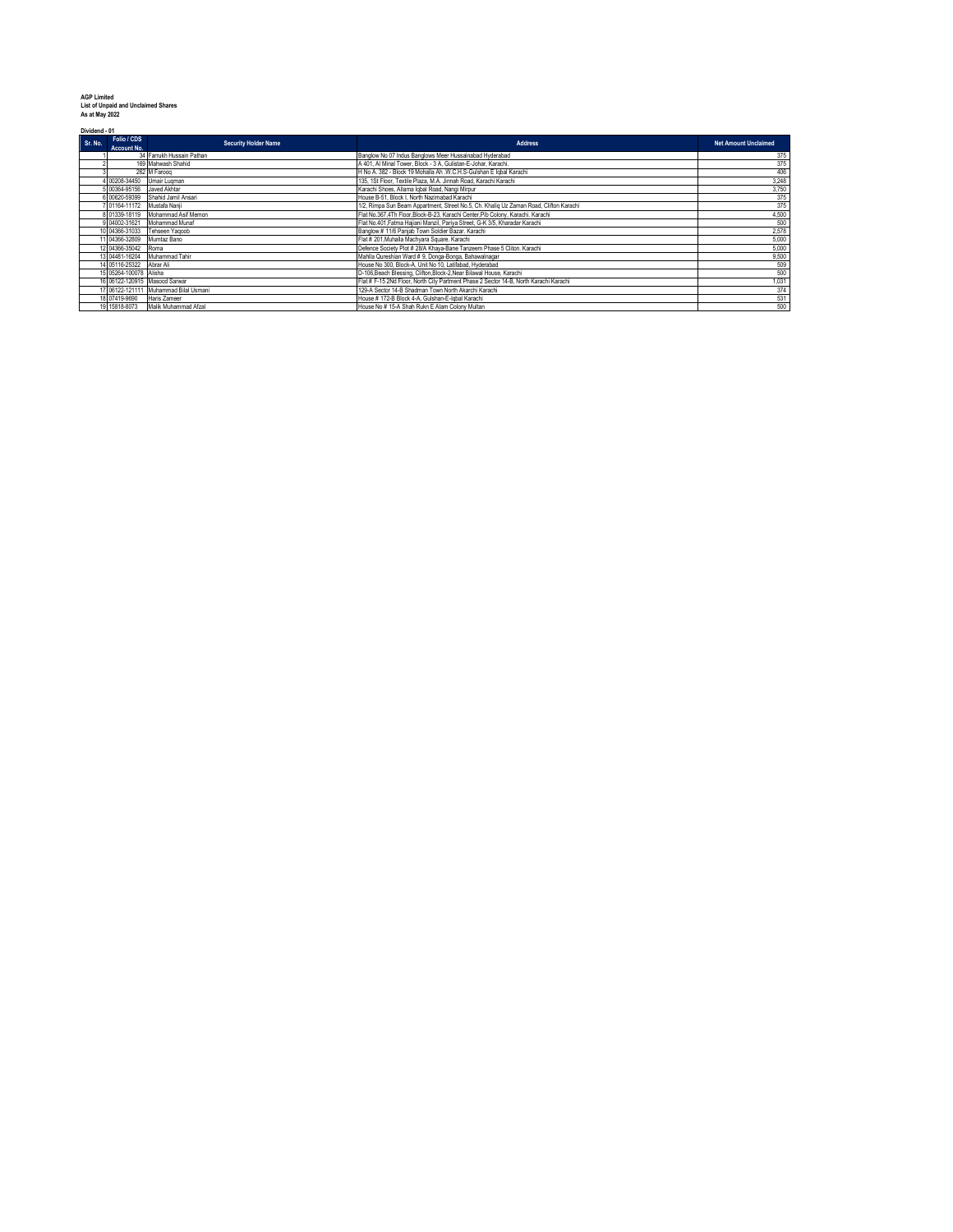| <b>AGP Limited</b>                         |
|--------------------------------------------|
| <b>List of Unpaid and Unclaimed Shares</b> |
| As at May 2022                             |

**Dividend - 01**

| <b>DIVIDENTE - 01</b> |                               |                                       |                                                                                        |                             |  |
|-----------------------|-------------------------------|---------------------------------------|----------------------------------------------------------------------------------------|-----------------------------|--|
| Sr. No.               | Folio / CDS<br>Account No.    | <b>Security Holder Name</b>           | <b>Address</b>                                                                         | <b>Net Amount Unclaimed</b> |  |
|                       |                               | 34 Farrukh Hussain Pathan             | Banglow No 07 Indus Banglows Meer Hussainabad Hyderabad                                | 375                         |  |
|                       |                               | 169 Mahwash Shahid                    | A 401. Al Minal Tower, Block - 3 A. Gulistan-E-Johar, Karachi.                         | 375                         |  |
|                       |                               | 262 M Faroog                          | H No A. 382 - Block 19 Mohalla Ah .W.C.H.S-Gulshan E lobal Karachi                     | 406                         |  |
|                       | 4 00208-34450                 | Umair Lugman                          | 135, 1St Floor, Textile Plaza, M.A. Jinnah Road, Karachi Karachi                       | 3,248                       |  |
|                       | 5 00364-95156 Javed Akhtar    |                                       | Karachi Shoes, Allama Igbal Road, Nangi Mirour                                         | 3,750                       |  |
|                       | 6 00620-59399                 | Shahid Jamil Ansari                   | House B-51, Block I, North Nazimabad Karachi                                           | 375                         |  |
|                       | 7 01164-11172 Mustafa Nanji   |                                       | 1/2, Rimpa Sun Beam Appartment, Street No.5, Ch. Khaliq Uz Zaman Road, Clifton Karachi | 375                         |  |
|                       | 8 01339-18119                 | Mohammad Asif Memon                   | Flat No.367.4Th Floor.Block-B-23, Karachi Center.Pib Colony, Karachi, Karachi          | 4.500                       |  |
|                       | 9 04002-31621                 | Mohammad Munaf                        | Flat No.401, Fatma Hajiani Manzil, Pariya Street, G-K 3/5, Kharadar Karachi            | 500                         |  |
|                       | 10 04366-31033                | Tehseen Yagoob                        | Banglow # 11/6 Paniab Town Soldier Bazar, Karachi                                      | 2,578                       |  |
|                       | 11 04366-32809                | Mumtaz Bano                           | Flat # 201.Muhalla Machyara Square, Karachi                                            | 5,000                       |  |
|                       | 12 04366-35042                | Roma                                  | Defence Society Plot # 28/A Khaya-Bane Tanzeem Phase 5 Cliton. Karachi                 | 5.000                       |  |
|                       | 13 04481-16204                | Muhammad Tahir                        | Mahlla Qureshian Ward # 9. Donga-Bonga, Bahawalnagar                                   | 9,500                       |  |
|                       | 14 05116-25322                | Abrar Ali                             | House No 300, Block-A. Unit No 10, Latifabad, Hyderabad                                | 509                         |  |
|                       | 15 05264-100078 Alisha        |                                       | D-106.Beach Blessing, Clifton.Block-2.Near Bilawal House, Karachi                      | 500                         |  |
|                       | 16 06122-120915 Masood Sarwar |                                       | Flat # F-15 2Nd Floor, North City Partment Phase 2 Sector 14-B, North Karachi Karachi  | 1,031                       |  |
|                       |                               | 17 06122-121111 Muhammad Bilal Usmani | 129-A Sector 14-B Shadman Town North Akarchi Karachi                                   | 374                         |  |
|                       | 18 07419-9690                 | Haris Zameer                          | House # 172-B Block 4-A. Gulshan-E-lobal Karachi                                       | 531                         |  |
|                       | 19 15818-8073                 | Malik Muhammad Afzal                  | House No # 15-A Shah Rukn E Alam Colony Multan                                         | 500                         |  |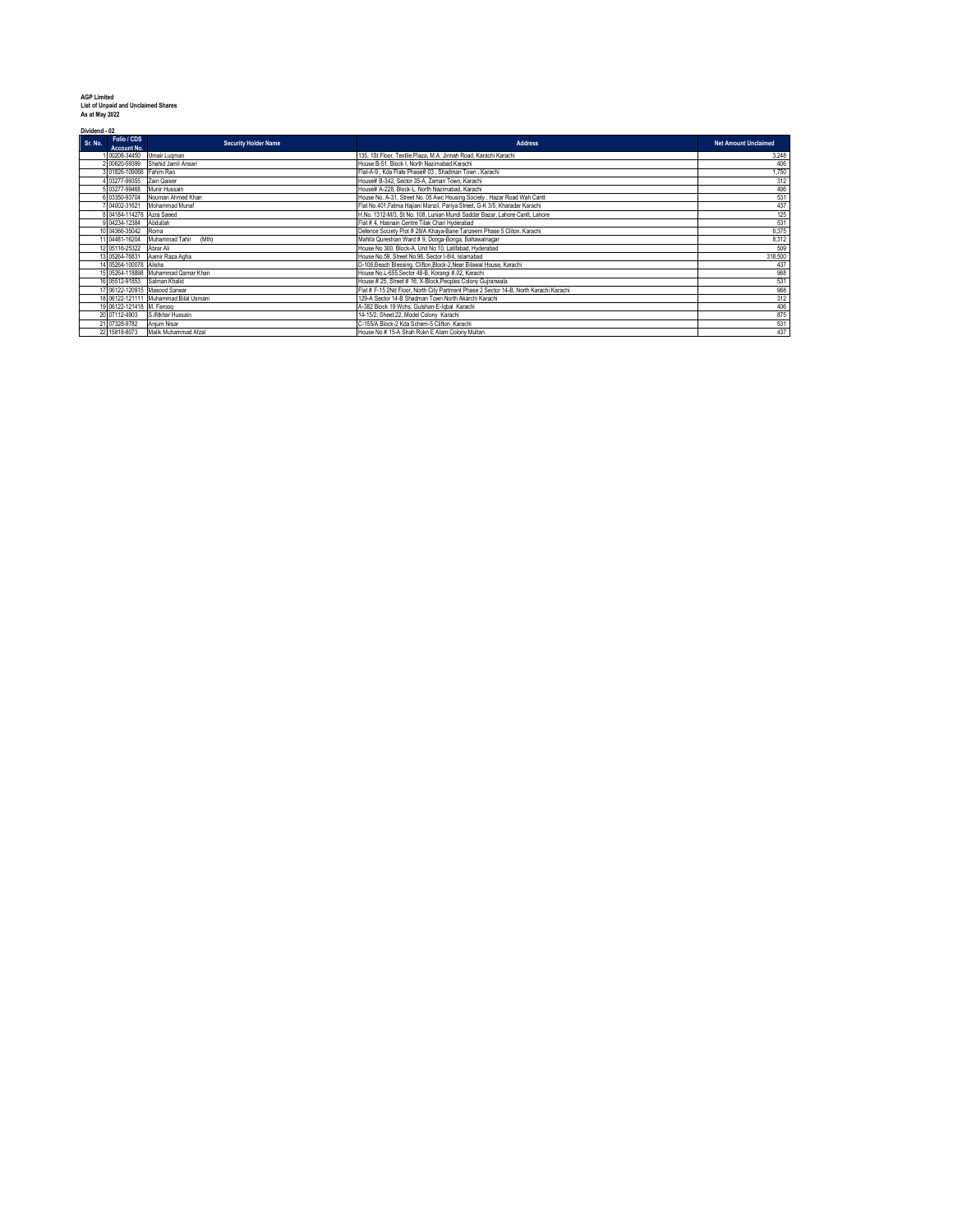**AGP Limited List of Unpaid and Unclaimed Shares As at May 2022**

|         | Dividend - 02                 |                                       |                                                                                       |                             |  |
|---------|-------------------------------|---------------------------------------|---------------------------------------------------------------------------------------|-----------------------------|--|
| Sr. No. | Folio / CDS<br>Account No.    | <b>Security Holder Name</b>           | <b>Address</b>                                                                        | <b>Net Amount Unclaimed</b> |  |
|         | 00208-34450                   | Umair Lugman                          | 135. 1St Floor, Textile Plaza, M.A. Jinnah Road, Karachi Karachi                      | 3.248                       |  |
|         | 2 00620-59399                 | Shahid Jamil Ansari                   | House B-51, Block I, North Nazimabad Karachi                                          | 406                         |  |
|         | 3 01826-109066 Fahim Rao      |                                       | Flat-A-9. Kda Flate Phase# 03. Shadman Town. Karachi                                  | 1,750                       |  |
|         | 03277-99355                   | Zain Qaiser                           | House# B-342. Sector 35-A. Zaman Town. Karachi                                        | 312                         |  |
|         | 03277-99468                   | Munir Hussain                         | House# A-228. Block-L. North Nazimabad. Karachi                                       | 406                         |  |
|         | 103350-93704                  | Nouman Ahmed Khan                     | House No. A-31, Street No. 05 Awc Housing Society, Hazar Road Wah Cantt               | 531                         |  |
|         | 04002-31621                   | Mohammad Munaf                        | Flat No.401.Fatma Haijani Manzil, Pariya Street, G-K 3/5, Kharadar Karachi            | 437                         |  |
|         | 8 04184-114278 Azra Saeed     |                                       | H.No. 1312-M/3. St No. 108. Lunian Mundi Saddar Bazar, Lahore Cantt, Lahore           | 125                         |  |
|         | 9 04234-12384                 | Abdullah                              | Flat # 4, Hasnain Centre Tilak Chari Hyderabad                                        | 531                         |  |
|         | 10 04366-35042                | Roma                                  | Defence Society Plot # 28/A Khava-Bane Tanzeem Phase 5 Cliton, Karachi                | 6,375                       |  |
|         | 11 04481-16204                | Muhammad Tahir<br>(Mth)               | Mahlla Qureshian Ward # 9. Donga-Bonga, Bahawalnagar                                  | 8,312                       |  |
|         | 12 05116-25322                | Abrar Ali                             | House No 300, Block-A, Unit No 10, Latifabad, Hyderabad                               | 509                         |  |
|         | 13 05264-76831                | Aamir Raza Agha                       | House No.59. Street No.96. Sector I-8/4. Islamabad                                    | 318,500                     |  |
|         | 14 05264-100078 Alisha        |                                       | D-106, Beach Blessing, Clifton, Block-2, Near Bilawal House, Karachi                  | 437                         |  |
|         |                               | 15 05264-118898 Muhammad Qamar Khan   | House No.L-655, Sector 48-B, Korangi #.02, Karachi                                    | 968                         |  |
|         | 16 05512-91853 Salman Khalid  |                                       | House # 25, Street # 16, X-Block, Peoples Colony Gujranwala                           | 531                         |  |
|         | 17 06122-120915 Masood Sarwar |                                       | Flat # F-15 2Nd Floor, North City Partment Phase 2 Sector 14-B, North Karachi Karachi | 968                         |  |
|         |                               | 18 06122-121111 Muhammad Bilal Usmani | 129-A Sector 14-B Shadman Town North Akarchi Karachi                                  | 312                         |  |
|         | 19 06122-121418 M. Farooq     |                                       | A-382 Block 19 Wchs, Gulshan-E-Igbal Karachi                                          | 406                         |  |
|         | 20 07112-4903                 | S.Ifitkhar Hussain                    | 14-15/2. Sheet 22. Model Colony Karachi                                               | 875                         |  |
|         | 21 07328-9782                 | Anjum Nisar                           | C-155/A Block-2 Kda Schem-5 Clifton Karachi                                           | 531                         |  |
|         | 22 15818-8073                 | Malik Muhammad Afzal                  | House No # 15-A Shah Rukn E Alam Colony Multan                                        | 437                         |  |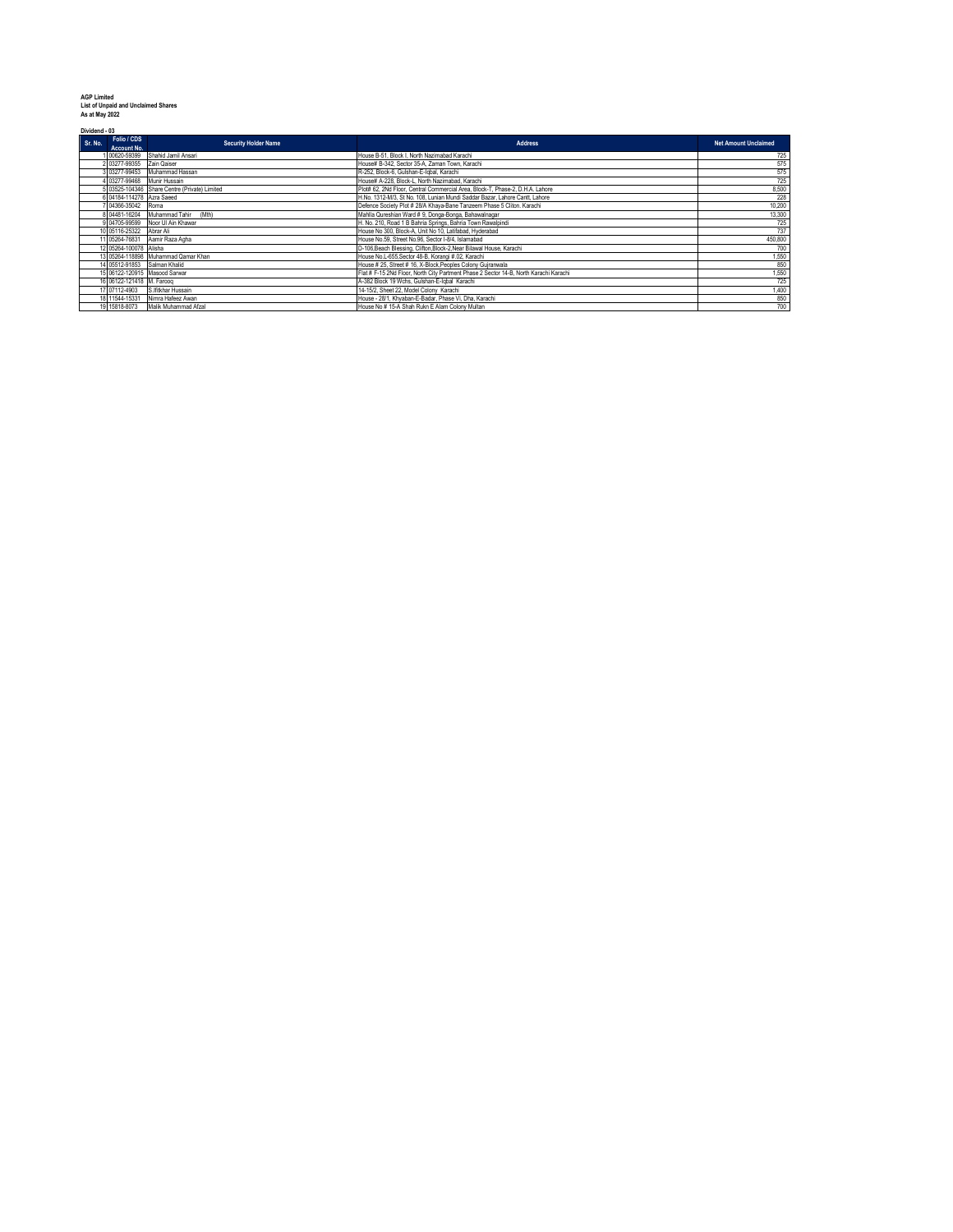| <b>AGP</b> I imited |  |
|---------------------|--|
|                     |  |

**AGP Limited List of Unpaid and Unclaimed Shares As at May 2022**

|         | Dividend - 03                |                                               |                                                                                       |                             |  |  |
|---------|------------------------------|-----------------------------------------------|---------------------------------------------------------------------------------------|-----------------------------|--|--|
| Sr. No. | Folio / CDS<br>Account No.   | <b>Security Holder Name</b>                   | Address                                                                               | <b>Net Amount Unclaimed</b> |  |  |
|         | 00620-59399                  | Shahid Jamil Ansari                           | House B-51, Block I, North Nazimabad Karachi                                          | 725                         |  |  |
|         | 2 03277-99355 Zain Qaiser    |                                               | House# B-342. Sector 35-A. Zaman Town. Karachi                                        | 575                         |  |  |
|         | 3 03277-99453                | Muhammad Hassan                               | R-252, Block-6, Gulshan-E-lobal, Karachi                                              | 575                         |  |  |
|         | 03277-99468                  | Munir Hussain                                 | House# A-228. Block-L. North Nazimabad. Karachi                                       | 725                         |  |  |
|         |                              | 5 03525-104346 Share Centre (Private) Limited | Plot# 62, 2Nd Floor, Central Commercial Area, Block-T, Phase-2, D.H.A. Lahore         | 8,500                       |  |  |
|         | 6 04184-114278 Azra Saeed    |                                               | H.No. 1312-M/3. St No. 108. Lunian Mundi Saddar Bazar, Lahore Cantt, Lahore           | 228                         |  |  |
|         | 04366-35042                  | Roma                                          | Defence Society Plot # 28/A Khava-Bane Tanzeem Phase 5 Cliton, Karachi                | 10,200                      |  |  |
|         | 8 04481-16204                | Muhammad Tahir<br>(Mth)                       | Mahlla Qureshian Ward # 9. Donga-Bonga, Bahawalnagar                                  | 13,300                      |  |  |
|         | 9 04705-99599                | Noor UI Ain Khawar                            | H. No. 210, Road 1 B Bahria Springs, Bahria Town Rawalpindi                           | 725                         |  |  |
|         | 10 05116-25322               | Abrar Ali                                     | House No 300, Block-A. Unit No 10, Latifabad, Hyderabad                               | 737                         |  |  |
|         | 11 05264-76831               | Aamir Raza Agha                               | House No.59. Street No.96. Sector I-8/4. Islamabad                                    | 450,800                     |  |  |
|         | 12 05264-100078 Alisha       |                                               | D-106, Beach Blessing, Clifton, Block-2, Near Bilawal House, Karachi                  | 700                         |  |  |
|         |                              | 13 05264-118898 Muhammad Qamar Khan           | House No.L-655.Sector 48-B. Korangi #.02. Karachi                                     | 1,550                       |  |  |
|         | 14 05512-91853 Salman Khalid |                                               | House # 25, Street # 16, X-Block, Peoples Colony Gujranwala                           | 850                         |  |  |
|         |                              | 15 06122-120915 Masood Sarwar                 | Flat # F-15 2Nd Floor, North City Partment Phase 2 Sector 14-B, North Karachi Karachi | 1,550                       |  |  |
|         | 16 06122-121418 M. Faroog    |                                               | A-382 Block 19 Wchs, Gulshan-E-Igbal Karachi                                          | 725                         |  |  |
|         | 17 07112-4903                | S.Ifitkhar Hussain                            | 14-15/2, Sheet 22, Model Colony Karachi                                               | 1,400                       |  |  |
|         | 18 11544-15331               | Nimra Hafeez Awan                             | House - 28/1. Khvaban-E-Badar, Phase Vi, Dha, Karachi                                 | 850                         |  |  |
|         | 19 15818-8073                | Malik Muhammad Afzal                          | House No # 15-A Shah Rukn E Alam Colony Multan                                        | 700                         |  |  |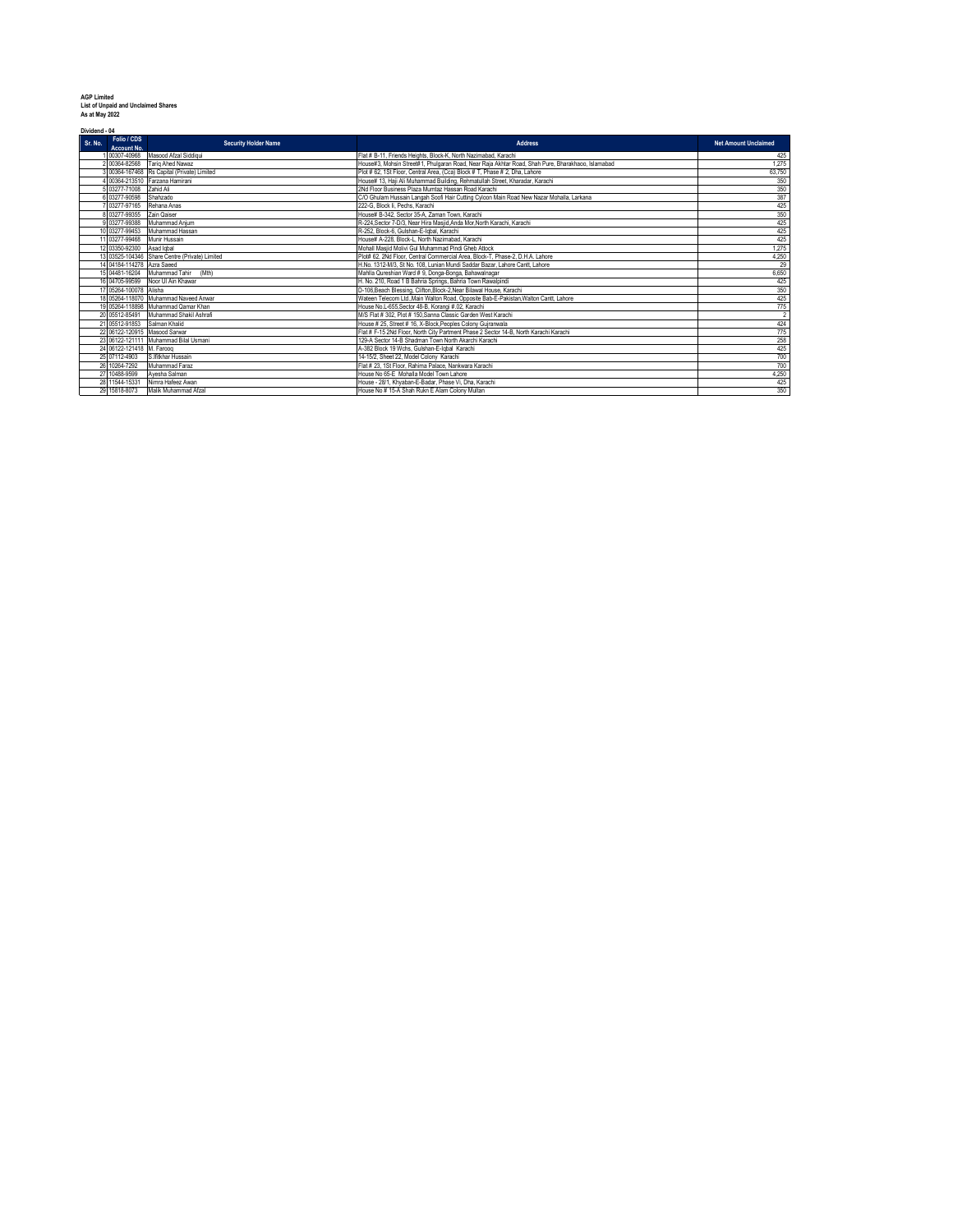| <b>AGP Limited</b>                         |
|--------------------------------------------|
| <b>List of Unpaid and Unclaimed Shares</b> |
| As at May 2022                             |

**Dividend - 04**

| Dividend - 04                         |                                                |                                                                                                   |                             |  |  |
|---------------------------------------|------------------------------------------------|---------------------------------------------------------------------------------------------------|-----------------------------|--|--|
| Folio / CDS<br>Sr. No.<br>Account No. | <b>Security Holder Name</b>                    | <b>Address</b>                                                                                    | <b>Net Amount Unclaimed</b> |  |  |
| 00307-40968                           | Masood Afzal Siddigui                          | Flat # B-11, Friends Heights, Block-K, North Nazimabad, Karachi                                   | 425                         |  |  |
| 2 00364-82568                         | Tario Ahed Nawaz                               | House#3, Mohsin Street#1, Phulgaran Road, Near Raja Akhtar Road, Shah Pure, Bharakhaoo, Islamabad | 1,275                       |  |  |
|                                       | 3 00364-167468 Rs Capital (Private) Limited    | Plot # 62, 1St Floor, Central Area, (Cca) Block # T, Phase # 2, Dha, Lahore                       | 63,750                      |  |  |
|                                       | 00364-213510 Farzana Hamirani                  | House# 13, Haji Ali Muhammad Building, Rehmatullah Street, Kharadar, Karachi                      | 350                         |  |  |
| 03277-71008                           | Zahid Ali                                      | 2Nd Floor Business Plaza Mumtaz Hassan Road Karachi                                               | 350                         |  |  |
| 03277-90598                           | Shahzado                                       | C/O Ghulam Hussain Langah Soofi Hair Cutting Cyloon Main Road New Nazar Mohalla, Larkana          | 387                         |  |  |
| 03277-97165                           | Rehana Anas                                    | 222-G. Block li, Pechs, Karachi                                                                   | 425                         |  |  |
| 03277-99355                           | Zain Qaiser                                    | House# B-342, Sector 35-A, Zaman Town, Karachi                                                    | 350                         |  |  |
| 9 03277-99388                         | Muhammad Anium                                 | R-224.Sector 7-D/3. Near Hira Masiid.Anda Mor.North Karachi, Karachi                              | 425                         |  |  |
| 10 03277-99453                        | Muhammad Hassan                                | R-252, Block-6, Gulshan-E-lobal, Karachi                                                          | 425                         |  |  |
| 11 03277-99468                        | Munir Hussain                                  | House# A-228. Block-I. North Nazimahad. Karachi.                                                  | 425                         |  |  |
| 12 03350-92300                        | Asad lobal                                     | Mohall Masiid Molivi Gul Muhammad Pindi Gheb Attock                                               | 1,275                       |  |  |
|                                       | 13 03525-104346 Share Centre (Private) Limited | Plot# 62, 2Nd Floor, Central Commercial Area, Block-T, Phase-2, D.H.A. Lahore                     | 4,250                       |  |  |
| 14 04184-114278 Azra Saeed            |                                                | H.No. 1312-M/3. St No. 108. Lunian Mundi Saddar Bazar, Lahore Cantt, Lahore                       | 29                          |  |  |
|                                       | 15 04481-16204 Muhammad Tahir<br>(Mth)         | Mahlla Qureshian Ward # 9. Donga-Bonga, Bahawalnagar                                              | 6,650                       |  |  |
|                                       | 16 04705-99599 Noor Ul Ain Khawar              | H. No. 210. Road 1 B Bahria Springs, Bahria Town Rawalpindi                                       | 425                         |  |  |
| 17 05264-100078 Alisha                |                                                | D-106, Beach Blessing, Clifton, Block-2, Near Bilawal House, Karachi                              | 350                         |  |  |
|                                       | 18 05264-118070 Muhammad Naveed Anwar          | Wateen Telecom Ltd.,Main Walton Road, Opposite Bab-E-Pakistan,Walton Cantt, Lahore                | 425                         |  |  |
|                                       | 19 05264-118898 Muhammad Qamar Khan            | House No.L-655, Sector 48-B, Korangi #.02, Karachi                                                | 775                         |  |  |
|                                       | 20 05512-85491 Muhammad Shakil Ashrafi         | M/S Flat # 302. Plot # 150.Sanna Classic Garden West Karachi                                      | $\overline{2}$              |  |  |
| 21 05512-91853 Salman Khalid          |                                                | House # 25, Street # 16, X-Block, Peoples Colony Gujranwala                                       | 424                         |  |  |
| 22 06122-120915 Masood Sarwar         |                                                | Flat # F-15 2Nd Floor, North City Partment Phase 2 Sector 14-B, North Karachi Karachi             | 775                         |  |  |
|                                       | 23 06122-121111 Muhammad Bilal Usmani          | 129-A Sector 14-B Shadman Town North Akarchi Karachi                                              | 258                         |  |  |
| 24 06122-121418 M. Faroog             |                                                | A-382 Block 19 Wchs, Gulshan-E-Iqbal Karachi                                                      | 425                         |  |  |
| 25 07112-4903                         | S.Ifitkhar Hussain                             | 14-15/2. Sheet 22. Model Colony Karachi                                                           | 700                         |  |  |
| 26<br>10264-7292                      | Muhammad Faraz                                 | Flat # 23. 1St Floor, Rahima Palace, Nankwara Karachi                                             | 700                         |  |  |
| 27 10488-9599                         | Ayesha Salman                                  | House No 65-E Mohalla Model Town Lahore                                                           | 4,250                       |  |  |
| 28 11544-15331                        | Nimra Hafeez Awan                              | House - 28/1. Khvaban-E-Badar, Phase Vi. Dha. Karachi                                             | 425                         |  |  |
| 29 15818-8073                         | Malik Muhammad Afzal                           | House No # 15-A Shah Rukn E Alam Colony Multan                                                    | 350                         |  |  |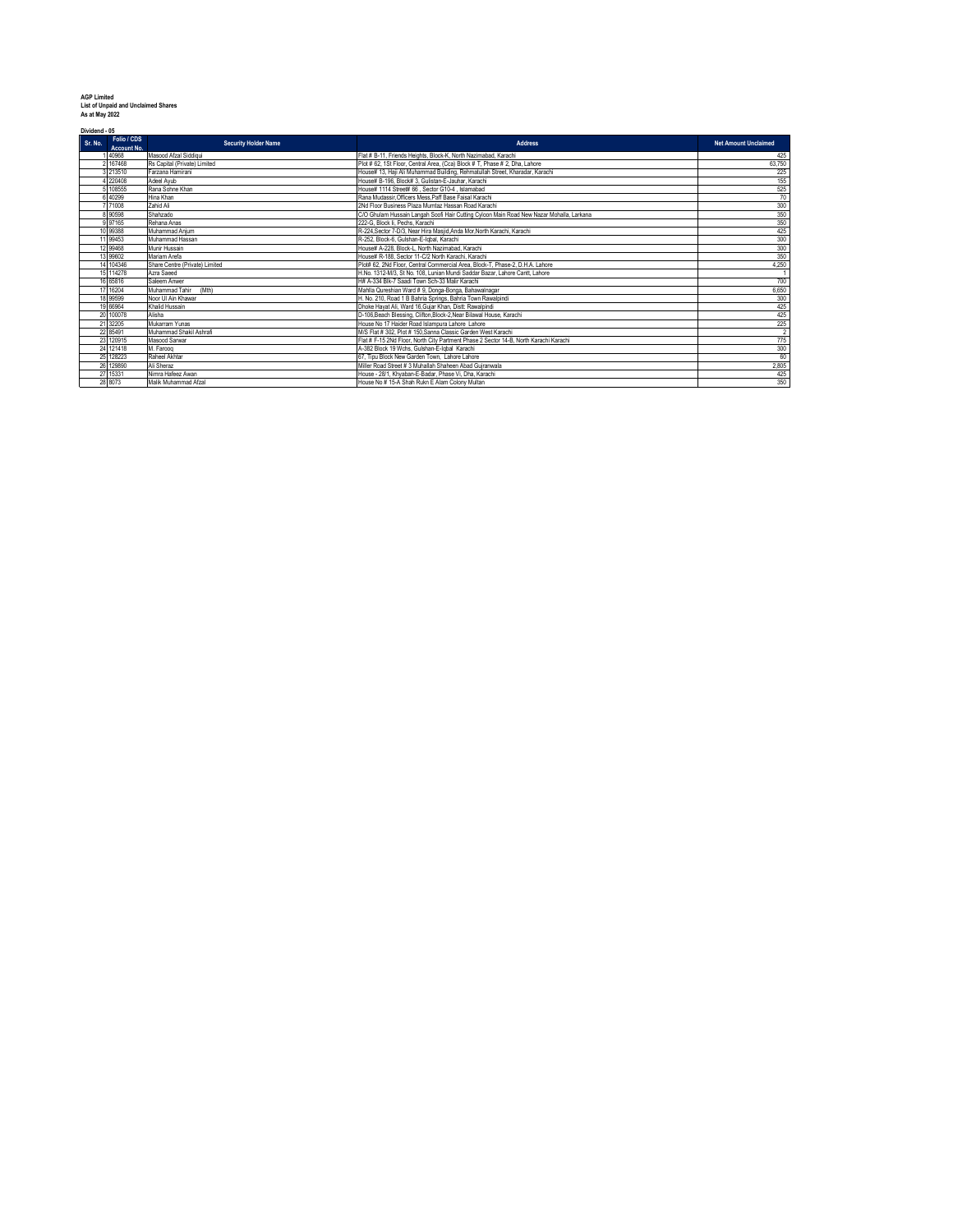| <b>AGP Limited</b>                  |  |
|-------------------------------------|--|
| List of Unpaid and Unclaimed Shares |  |
| As at May 2022                      |  |

| Dividend - 05 |                                   |                                |                                                                                          |                             |  |  |
|---------------|-----------------------------------|--------------------------------|------------------------------------------------------------------------------------------|-----------------------------|--|--|
| Sr. No.       | Folio / CDS<br><b>Account No.</b> | <b>Security Holder Name</b>    | <b>Address</b>                                                                           | <b>Net Amount Unclaimed</b> |  |  |
|               | 40968                             | Masood Afzal Siddiqui          | Flat # B-11. Friends Heights, Block-K. North Nazimabad, Karachi                          | 425                         |  |  |
|               | 2 167468                          | Rs Capital (Private) Limited   | Plot # 62, 1St Floor, Central Area, (Cca) Block # T. Phase # 2, Dha, Lahore              | 63,750                      |  |  |
|               | 3 213510                          | Farzana Hamirani               | House# 13. Haii Ali Muhammad Building, Rehmatullah Street, Kharadar, Karachi             | 225                         |  |  |
|               | 220408                            | Adeel Avub                     | House# B-196, Block# 3, Gulistan-E-Jauhar, Karachi                                       | 155                         |  |  |
|               | 5 108555                          | Rana Sohne Khan                | House# 1114 Street# 66 . Sector G10-4 . Islamabad                                        | 525                         |  |  |
|               | 40299                             | Hina Khan                      | Rana Mudassir. Officers Mess. Paff Base Faisal Karachi                                   | 70                          |  |  |
|               | 71008                             | Zahid Ali                      | 2Nd Floor Business Plaza Mumtaz Hassan Road Karachi                                      | 300                         |  |  |
|               | 8 90598                           | Shahzado                       | C/O Ghulam Hussain Langah Soofi Hair Cutting Cyloon Main Road New Nazar Mohalla, Larkana | 350                         |  |  |
|               | 9 97165                           | Rehana Anas                    | 222-G. Block li. Pechs. Karachi                                                          | 350                         |  |  |
|               | 10 99388                          | Muhammad Anium                 | R-224. Sector 7-D/3. Near Hira Masiid. Anda Mor. North Karachi. Karachi                  | 425                         |  |  |
|               | 11 99453                          | Muhammad Hassan                | R-252, Block-6, Gulshan-E-Igbal, Karachi                                                 | 300                         |  |  |
|               | 12 99468                          | Munir Hussain                  | House# A-228, Block-L, North Nazimabad, Karachi                                          | 300                         |  |  |
|               | 13 99602                          | Mariam Arefa                   | House# R-188. Sector 11-C/2 North Karachi, Karachi                                       | 350                         |  |  |
|               | 14 104346                         | Share Centre (Private) Limited | Plot# 62, 2Nd Floor, Central Commercial Area, Block-T, Phase-2, D.H.A. Lahore            | 4.250                       |  |  |
|               | 15 114278                         | Azra Saeed                     | H.No. 1312-M/3. St No. 108. Lunian Mundi Saddar Bazar. Lahore Cantt. Lahore              |                             |  |  |
|               | 16 65816                          | Saleem Anwer                   | H# A-334 Blk-7 Saadi Town Sch-33 Malir Karachi                                           | 700                         |  |  |
|               | 17 16204                          | (Mth)<br>Muhammad Tahir        | Mahlla Qureshian Ward # 9. Donga-Bonga, Bahawalnagar                                     | 6,650                       |  |  |
|               | 18 99599                          | Noor UI Ain Khawar             | H. No. 210, Road 1 B Bahria Springs, Bahria Town Rawalpindi                              | 300                         |  |  |
|               | 19 66964                          | Khalid Hussain                 | Dhoke Havat Ali, Ward 16. Guiar Khan, Distt: Rawalpindi                                  | 425                         |  |  |
|               | 20 100078                         | Alisha                         | D-106.Beach Blessing, Clifton.Block-2.Near Bilawal House, Karachi                        | 425                         |  |  |
|               | 21 32205                          | Mukarram Yunas                 | House No 17 Haider Road Islampura Lahore Lahore                                          | $\frac{225}{2}$             |  |  |
|               | 22 85491                          | Muhammad Shakil Ashrafi        | M/S Flat # 302. Plot # 150.Sanna Classic Garden West Karachi                             |                             |  |  |
|               | 23 120915                         | Masood Sarwar                  | Flat # F-15 2Nd Floor, North City Partment Phase 2 Sector 14-B, North Karachi Karachi    | 775                         |  |  |
|               | 24 121418                         | M. Faroog                      | A-382 Block 19 Wchs, Gulshan-E-Iqbal Karachi                                             | 300                         |  |  |
|               | 25 128223                         | Raheel Akhtar                  | 67. Tipu Block New Garden Town. Lahore Lahore                                            | 60                          |  |  |
|               | 26 129890                         | Ali Sheraz                     | Miller Road Street # 3 Muhallah Shaheen Abad Guiranwala                                  | 2,805                       |  |  |
|               | 27 15331                          | Nimra Hafeez Awan              | House - 28/1. Khyaban-E-Badar, Phase Vi, Dha, Karachi                                    | 425                         |  |  |
|               | 28 8073                           | Malik Muhammad Afzal           | House No # 15-A Shah Rukn E Alam Colony Multan                                           | 350                         |  |  |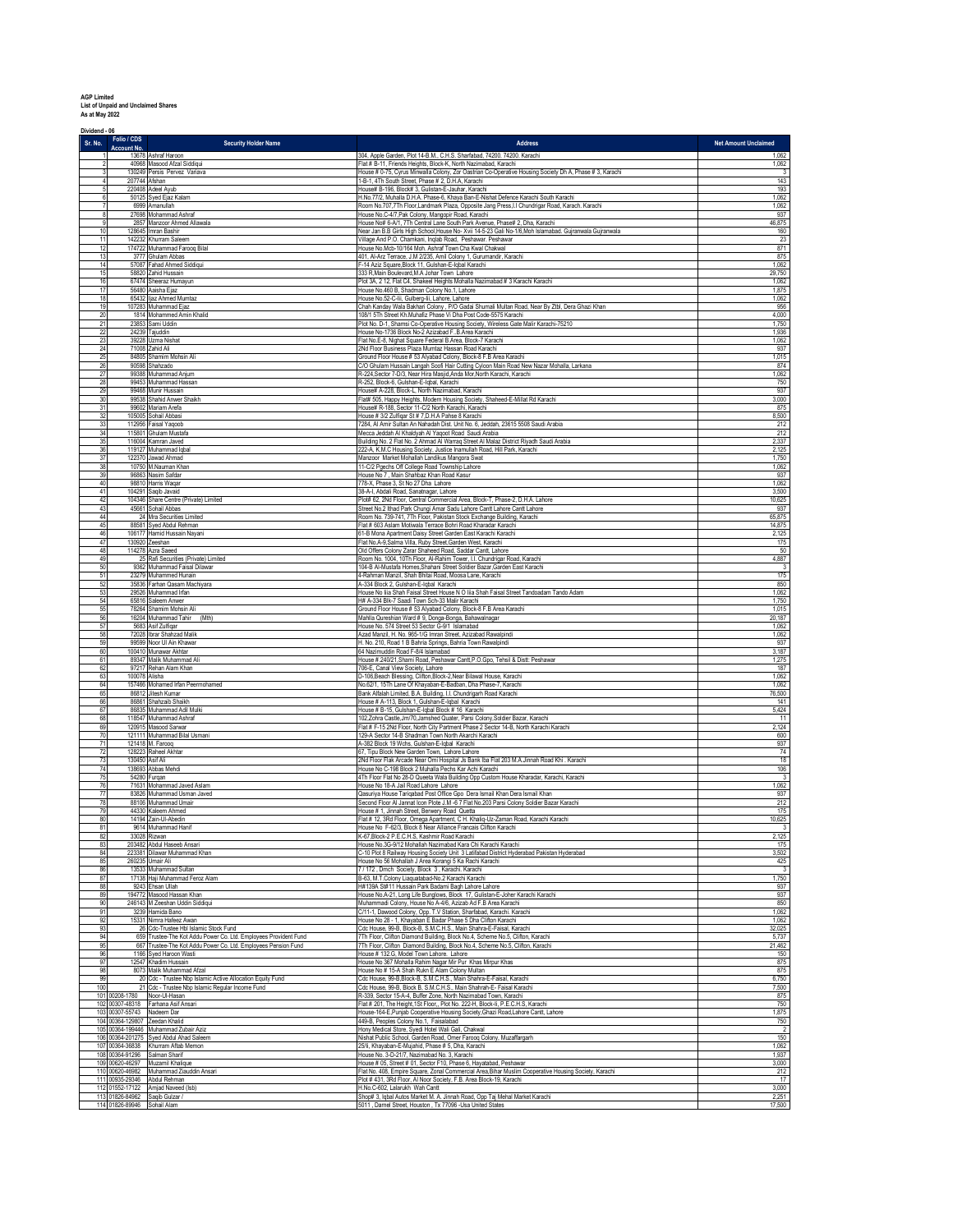**AGP Limited List of Unpaid and Unclaimed Shares As at May 2022**

| Dividend - 06<br>Sr. No. | Folio / CDS                                                  | <b>Security Holder Name</b>                                                             | <b>Address</b>                                                                                                                                                             | <b>Net Amount Unclaimed</b> |
|--------------------------|--------------------------------------------------------------|-----------------------------------------------------------------------------------------|----------------------------------------------------------------------------------------------------------------------------------------------------------------------------|-----------------------------|
|                          | <b>Account No.</b>                                           | 13678 Ashraf Haroon                                                                     | 304, Apple Garden, Plot 14-B.M., C.H.S. Sharfabad, 74200. 74200. Karachi                                                                                                   | 1,062                       |
|                          |                                                              | 40968 Masood Afzal Siddiqui<br>130249 Persis Pervez Variava                             | Flat # B-11, Friends Heights, Block-K, North Nazimabad, Karachi<br>House # 0-75, Cyrus Minwalla Colony, Zor Oastrian Co-Operative Housing Society Dh A, Phase # 3, Karachi | 1,062<br>3                  |
| $\overline{4}$           | 207744 Afshan                                                |                                                                                         | 1-B-1, 4Th South Street, Phase # 2, D.H.A, Karachi                                                                                                                         | 143                         |
| 5                        |                                                              | 220408 Adeel Ayub                                                                       | House# B-196, Block# 3, Gulistan-E-Jauhar, Karachi                                                                                                                         | 193                         |
| 6                        |                                                              | 50125 Syed Ejaz Kalam                                                                   | H.No.77/2, Muhalla D.H.A. Phase-6, Khaya Ban-E-Nishat Defence Karachi South Karachi                                                                                        | 1,062                       |
| $\overline{7}$           |                                                              | 6999 Amanullah                                                                          | Room No.707,7Th Floor,Landmark Plaza, Opposite Jang Press,I.I Chundrigar Road, Karach. Karachi                                                                             | 1,062                       |
| 8                        |                                                              | 27698 Mohammad Ashraf                                                                   | House No.C-4/7, Pak Colony, Mangopir Road, Karachi                                                                                                                         | 937                         |
| 9                        |                                                              | 2857 Manzoor Ahmed Allawala                                                             | House No# 6-A/1, 7Th Central Lane South Park Avenue, Phase# 2, Dha, Karachi                                                                                                | 46,875                      |
| 10                       |                                                              | 128645 Imran Bashir                                                                     | Near Jan B.B Girls High School, House No- Xvii 14-5-23 Gali No-1/6, Moh Islamabad. Gujranwala Gujranwala                                                                   | 160                         |
| 11                       |                                                              | 142232 Khurram Saleem                                                                   | Village And P.O. Chamkani, Inqlab Road, Peshawar. Peshawar                                                                                                                 | $rac{23}{871}$              |
| 12<br>13                 |                                                              | 174722 Muhammad Farooq Bilal<br>3777 Ghulam Abbas                                       | House No.Mcb-10/164 Moh. Ashraf Town Cha Kwal Chakwal<br>401, Al-Arz Terrace, J.M 2/235, Amil Colony 1, Gurumandir, Karachi                                                | 875                         |
| 14                       |                                                              | 57087 Fahad Ahmed Siddiqui                                                              | F-14 Aziz Square, Block 11, Gulshan-E-Iqbal Karachi                                                                                                                        | 1,062                       |
| 15                       |                                                              | 58820 Zahid Hussain                                                                     | 333 R, Main Boulevard, M.A Johar Town Lahore                                                                                                                               | 29,750                      |
| 16<br>17                 |                                                              | 67474 Sheeraz Humayun                                                                   | Plot 3A, 2 12, Flat C4, Shakeel Heights Mohalla Nazimabad # 3 Karachi Karachi<br>House No.460 B, Shadman Colony No.1, Lahore                                               | 1,062<br>1,875              |
| 18                       |                                                              | 56480 Aaisha Ejaz<br>65432 ljaz Ahmed Mumtaz                                            | House No.52-C-lii, Gulberg-lii, Lahore, Lahore                                                                                                                             | 1,062                       |
| 19                       |                                                              | 107283 Muhammad Ejaz                                                                    | Chah Kanday Wala Bakhari Colony, P/O Gadai Shumali Multan Road, Near By Ztbl, Dera Ghazi Khan                                                                              | 956                         |
| 20                       |                                                              | 1814 Mohammed Amin Khalid                                                               | 108/1 5Th Street Kh.Muhafiz Phase Vi Dha Post Code-5575 Karachi                                                                                                            | 4,000                       |
| 21                       |                                                              | 23853 Sami Uddin                                                                        | Plot No. D-1, Shamsi Co-Operative Housing Society, Wireless Gate Malir Karachi-75210                                                                                       | 1,750                       |
| 22                       |                                                              | 24239 Tajuddin                                                                          | House No-1736 Block No-2 Azizabad F. B Area Karachi                                                                                                                        | 1,936                       |
| 23                       |                                                              | 39228 Uzma Nishat                                                                       | Flat No.E-8, Nighat Square Federal B.Area, Block-7 Karachi                                                                                                                 | 1,062                       |
| 24                       |                                                              | 71008 Zahid Ali                                                                         | 2Nd Floor Business Plaza Mumtaz Hassan Road Karachi                                                                                                                        | 937                         |
| 25                       |                                                              | 84805 Shamim Mohsin Ali                                                                 | Ground Floor House # 53 Alyabad Colony, Block-8 F.B Area Karachi                                                                                                           | 1,015                       |
| $\frac{26}{27}$          |                                                              | 90598 Shahzado<br>99388 Muhammad Anjum                                                  | C/O Ghulam Hussain Langah Soofi Hair Cutting Cyloon Main Road New Nazar Mohalla, Larkana<br>R-224, Sector 7-D/3, Near Hira Masjid, Anda Mor, North Karachi, Karachi        | 874<br>1,062                |
| 28                       |                                                              | 99453 Muhammad Hassan                                                                   | R-252, Block-6, Gulshan-E-Iqbal, Karachi                                                                                                                                   | 750                         |
| 29                       |                                                              | 99468 Munir Hussain                                                                     | House# A-228, Block-L, North Nazimabad, Karachi                                                                                                                            | 937                         |
| 30                       |                                                              | 99538 Shahid Anwer Shaikh                                                               | Flat# 505, Happy Heights, Modern Housing Society, Shaheed-E-Millat Rd Karachi                                                                                              | 3,000                       |
| 31                       |                                                              | 99602 Mariam Arefa                                                                      | House# R-188, Sector 11-C/2 North Karachi, Karachi                                                                                                                         | 875                         |
| 32                       |                                                              | 105005 Sohail Abbasi                                                                    | House # 3/2 Zulfiqar St # 7, D.H.A Pahse 8 Karachi                                                                                                                         | 8,500                       |
| 33                       |                                                              | 112956 Faisal Yaqoob                                                                    | 7284, Al Amir Sultan An Nahadah Dist. Unit No. 6, Jeddah, 23615 5508 Saudi Arabia                                                                                          | 212                         |
| 34                       |                                                              | 115801 Ghulam Mustafa                                                                   | Mecca Jeddah Al Khaldyah Al Yaqoot Road Saudi Arabia                                                                                                                       | 212                         |
| 35                       |                                                              | 116004 Kamran Javed                                                                     | Building No. 2 Flat No. 2 Ahmad Al Warraq Street Al Malaz District Riyadh Saudi Arabia                                                                                     | 2,337                       |
| 36                       |                                                              | 119127 Muhammad Iqbal                                                                   | 222-A, K.M.C Housing Society, Justice Inamullah Road, Hill Park, Karachi                                                                                                   | 2,125                       |
| 37                       |                                                              | 122370 Jawad Ahmad                                                                      | Manzoor Market Mohallah Landikus Mangora Swat                                                                                                                              | 1,750                       |
| 38                       |                                                              | 10750 M.Nauman Khan                                                                     | 11-C/2 Pgechs Off College Road Township Lahore                                                                                                                             | 1,062                       |
| 39                       |                                                              | 96863 Nasim Safdar                                                                      | House No 7, Main Shahbaz Khan Road Kasur                                                                                                                                   | 937                         |
| 40                       |                                                              | 98810 Harris Waqar                                                                      | 778-X, Phase 3, St No 27 Dha Lahore                                                                                                                                        | 1,062                       |
| 41                       |                                                              | 104291 Saqib Javaid                                                                     | 38-A-I, Abdali Road, Sanatnagar, Lahore                                                                                                                                    | 3,500                       |
| 42                       |                                                              | 104346 Share Centre (Private) Limited                                                   | Plot# 62, 2Nd Floor, Central Commercial Area, Block-T, Phase-2, D.H.A. Lahore                                                                                              | 10,625                      |
| 43                       |                                                              | 45661 Sohail Abbas                                                                      | Street No.2 Ithad Park Chungi Amar Sadu Lahore Cantt Lahore Cantt Lahore                                                                                                   | 937                         |
| 44                       |                                                              | 24 Mra Securities Limited                                                               | Room No. 739-741, 7Th Floor, Pakistan Stock Exchange Building, Karachi                                                                                                     | 65,875                      |
| 45                       |                                                              | 88581 Syed Abdul Rehman                                                                 | Flat # 603 Aslam Motiwala Terrace Bohri Road Kharadar Karachi                                                                                                              | 14,875                      |
| 46                       |                                                              | 106177 Hamid Hussain Nayani                                                             | 61-B Mona Apartment Daisy Street Garden East Karachi Karachi                                                                                                               | 2,125                       |
| 47                       |                                                              | 130920 Zeeshan                                                                          | Flat No.A-9,Salma Villa, Ruby Street,Garden West, Karachi                                                                                                                  | 175                         |
| 48                       |                                                              | 114278 Azra Saeed                                                                       | Old Offers Colony Zarar Shaheed Road, Saddar Cantt, Lahore                                                                                                                 | 50                          |
| 49                       |                                                              | 25 Rafi Securities (Private) Limited                                                    | Room No. 1004, 10Th Floor, Al-Rahim Tower, I.I. Chundrigar Road, Karachi                                                                                                   | 4,887                       |
| 50                       |                                                              | 9362 Muhammad Faisal Dilawar                                                            | 104-B Al-Mustafa Homes, Shahani Street Soldier Bazar, Garden East Karachi                                                                                                  | $\overline{\mathbf{3}}$     |
| 51                       |                                                              | 23279 Muhammed Hunain                                                                   | 4-Rahman Manzil, Shah Bhitai Road, Moosa Lane, Karachi                                                                                                                     | 175                         |
| 52                       |                                                              | 35836 Farhan Qasam Machiyara                                                            | A-334 Block 2, Gulshan-E-Iqbal Karachi                                                                                                                                     | 850                         |
| 53                       |                                                              | 29526 Muhammad Irfan                                                                    | House No liia Shah Faisal Street House N O liia Shah Faisal Street Tandoadam Tando Adam                                                                                    | 1,062                       |
| 54                       |                                                              | 65816 Saleem Anwer                                                                      | H# A-334 Blk-7 Saadi Town Sch-33 Malir Karachi                                                                                                                             | 1,750                       |
| 55                       |                                                              | 78264 Shamim Mohsin Ali                                                                 | Ground Floor House # 53 Alyabad Colony, Block-8 F.B Area Karachi                                                                                                           | 1,015                       |
| 56                       |                                                              | 16204 Muhammad Tahir (Mth)                                                              | Mahlla Qureshian Ward # 9, Donga-Bonga, Bahawalnagar                                                                                                                       | 20,187                      |
| 57                       |                                                              | 5683 Asif Zulfigar                                                                      | House No. 574 Street 53 Sector G-9/1 Islamabad                                                                                                                             | 1,062                       |
| 58                       |                                                              | 72028 Ibrar Shahzad Malik                                                               | Azad Manzil, H. No. 965-1/G Imran Street, Azizabad Rawalpindi                                                                                                              | 1,062                       |
| 59                       |                                                              | 99599 Noor UI Ain Khawar                                                                | H. No. 210, Road 1 B Bahria Springs, Bahria Town Rawalpindi                                                                                                                | 937                         |
| 60                       |                                                              | 100410 Munawar Akhtar                                                                   | 64 Nazimuddin Road F-8/4 Islamabad                                                                                                                                         | 3,187                       |
| 61                       |                                                              | 89347 Malik Muhammad Ali                                                                | House # 240/21, Shami Road, Peshawar Cantt, P.O. Gpo, Tehsil & Distt: Peshawar                                                                                             | 1,275                       |
| 62<br>63                 | 100078 Alisha                                                | 97217 Rehan Alam Khan                                                                   | 706-E, Canal View Society, Lahore<br>D-106, Beach Blessing, Clifton, Block-2, Near Bilawal House, Karachi                                                                  | 187<br>1,062                |
| 64                       |                                                              | 157466 Mohamed Irfan Peermohamed                                                        | No.62/1, 15Th Lane Of Khayaban-E-Badban, Dha Phase-7, Karachi                                                                                                              | 1,062                       |
| 65                       |                                                              | 86812 Jitesh Kumar                                                                      | Bank Alfalah Limited, B.A. Building, I.I. Chundrigarh Road Karachi                                                                                                         | 76,500                      |
| 66                       |                                                              | 86861 Shahzaib Shaikh                                                                   | House # A-113, Block 1, Gulshan-E-Iqbal Karachi                                                                                                                            | 141                         |
| 67                       |                                                              | 86835 Muhammad Adil Mulki                                                               | House # B-15, Gulshan-E-Iqbal Block # 16 Karachi                                                                                                                           | 5,424                       |
| 68                       |                                                              | 118547 Muhammad Ashraf                                                                  | 102, Zohra Castle, Jm/70, Jamshed Quater, Parsi Colony, Soldier Bazar, Karachi                                                                                             | $\overline{11}$             |
| 69<br>70                 |                                                              | 120915 Masood Sarwar<br>121111 Muhammad Bilal Usmani                                    | Flat # F-15 2Nd Floor, North City Partment Phase 2 Sector 14-B, North Karachi Karachi                                                                                      | 2,124                       |
| 71                       |                                                              | 121418 M. Farooq                                                                        | 129-A Sector 14-B Shadman Town North Akarchi Karachi<br>A-382 Block 19 Wchs, Gulshan-E-Iqbal Karachi                                                                       | 600<br>937                  |
| $\mathbf{72}$<br>73      | 130450 Asif Ali                                              | 128223 Raheel Akhtar                                                                    | 67, Tipu Block New Garden Town, Lahore Lahore<br>2Nd Floor Flak Arcade Near Omi Hospital Js Bank Iba Flat 203 M.A.Jinnah Road Khi. Karachi                                 | 74<br>18                    |
| 74                       |                                                              | 138693 Abbas Mehdi                                                                      | House No C-198 Block 2 Muhalla Pechs Kar Achi Karachi                                                                                                                      | 106                         |
| 75                       |                                                              | 54280 Furqan                                                                            | 4Th Floor Flat No 28-D Queeta Wala Building Opp Custom House Kharadar, Karachi, Karachi                                                                                    | $\overline{\mathbf{3}}$     |
| 76                       |                                                              | 71631 Mohammad Javed Aslam                                                              | House No 18-A Jail Road Lahore Lahore                                                                                                                                      | 1,062                       |
|                          |                                                              | 83826 Muhammad Usman Javed                                                              | Qasuriya House Tariqabad Post Office Gpo Dera Ismail Khan Dera Ismail Khan                                                                                                 | 937                         |
| 78                       |                                                              | 88106 Muhammad Umair                                                                    | Second Floor Al Jannat Icon Plote J.M -6 7 Flat No.203 Parsi Colony Soldier Bazar Karachi                                                                                  | 212                         |
| 79                       |                                                              | 44330 Kaleem Ahmed                                                                      | House # 1, Jinnah Street, Berwery Road Quetta                                                                                                                              | 175                         |
| 80                       |                                                              | 14194 Zain-Ul-Abedin                                                                    | Flat # 12, 3Rd Floor, Omega Apartment, C H. Khaliq-Uz-Zaman Road, Karachi Karachi                                                                                          | 10,625                      |
| ŏ۱                       |                                                              | 9614 Muhammad                                                                           | louse No F-62/3, Block 8 Near Alliance Francais C                                                                                                                          |                             |
| 82                       |                                                              | 33028 Rizwan                                                                            | K-67, Block-2 P.E.C.H.S, Kashmir Road Karachi                                                                                                                              | 2,125                       |
| 83                       |                                                              | 203482 Abdul Haseeb Ansari                                                              | House No.3G-9/12 Mohallah Nazimabad Kara Chi Karachi Karachi                                                                                                               | 175                         |
| 84                       |                                                              | 223381 Dilawar Muhammad Khan                                                            | C-10 Plot 8 Railway Housing Society Unit 3 Latifabad District Hyderabad Pakistan Hyderabad                                                                                 | 3,502                       |
| 85                       |                                                              | 260235 Umair Ali                                                                        | House No 56 Mohallah J Area Korangi 5 Ka Rachi Karachi                                                                                                                     | 425                         |
| 86                       |                                                              | 13533 Muhammad Sultan                                                                   | 7 / 172, Dmch Society, Block 3, Karachi. Karachi                                                                                                                           | 3                           |
| 87                       |                                                              | 17138 Haji Muhammad Feroz Alam                                                          | B-63, M.T.Colony Liaquatabad-No.2 Karachi Karachi                                                                                                                          | 1,750                       |
| 88                       |                                                              | 9243 Ehsan Ullah                                                                        | H#139A S#11 Hussain Park Badami Bagh Lahore Lahore                                                                                                                         | 937                         |
| 89                       |                                                              | 194772 Masood Hassan Khan                                                               | House No.A-21, Long Life Bunglows, Block 17, Gulistan-E-Joher Karachi Karachi                                                                                              | 937                         |
| 90                       |                                                              | 246143 M Zeeshan Uddin Siddigui                                                         | Muhammadi Colony, House No A-4/6, Azizab Ad F.B Area Karachi                                                                                                               | 850                         |
| 91                       |                                                              | 3239 Hamida Bano                                                                        | C/11-1, Dawood Colony, Opp. T.V Station, Sharfabad, Karachi. Karachi                                                                                                       | 1,062                       |
| 92                       |                                                              | 15331 Nimra Hafeez Awan                                                                 | House No 28 - 1, Khayaban E Badar Phase 5 Dha Clifton Karachi                                                                                                              | 1,062                       |
| 93                       |                                                              | 26 Cdc-Trustee Hbl Islamic Stock Fund                                                   | Cdc House, 99-B, Block-B, S.M.C.H.S., Main Shahra-E-Faisal, Karachi                                                                                                        | 32,025                      |
| 94                       |                                                              | 659 Trustee-The Kot Addu Power Co. Ltd. Employees Provident Fund                        | 7Th Floor, Clifton Diamond Building, Block No.4, Scheme No.5, Clifton, Karachi                                                                                             | 5,737                       |
| 95                       |                                                              | 667 Trustee-The Kot Addu Power Co. Ltd. Employees Pension Fund                          | 7Th Floor, Clifton_Diamond Building, Block No.4, Scheme No.5, Clifton, Karachi                                                                                             | 21,462                      |
| 96                       |                                                              | 1166 Syed Haroon Wasti                                                                  | House # 132.G, Model Town Lahore. Lahore                                                                                                                                   | 150                         |
| 97                       |                                                              | 12547 Khadim Hussain                                                                    | House No 367 Mohalla Rahim Nagar Mir Pur Khas Mirpur Khas                                                                                                                  | 875                         |
| 98                       |                                                              | 8073 Malik Muhammad Afzal<br>20 Cdc - Trustee Nbp Islamic Active Allocation Equity Fund | House No # 15-A Shah Rukn E Alam Colony Multan                                                                                                                             | 875                         |
| 99<br>100                |                                                              | 21 Cdc - Trustee Nbp Islamic Regular Income Fund                                        | Cdc House, 99-B, Block-B, S.M.C.H.S., Main Shahra-E-Faisal, Karachi<br>Cdc House, 99-B, Block B, S.M.C.H.S., Main Shahrah-E- Faisal Karachi                                | 6,750<br>7,500              |
|                          | 101 00208-1780                                               | Noor-Ul-Hasan                                                                           | R-339, Sector 15-A-4, Buffer Zone, North Nazimabad Town, Karachi                                                                                                           | 875                         |
|                          | 102 00307-48318                                              | Farhana Asif Ansari                                                                     | Flat # 201, The Height, 1St Floor,, Plot No. 222-H, Block-li, P.E.C.H.S, Karachi                                                                                           | 750                         |
|                          | 103 00307-55743 Nadeem Dar<br>104 00364-129807 Zeedan Khalid |                                                                                         | House-164-E,Punjab Cooperative Housing Society, Ghazi Road,Lahore Cantt, Lahore<br>449-B, Peoples Colony No.1, Faisalabad                                                  | 1,875<br>750                |
|                          |                                                              | 105 00364-199446 Muhammad Zubair Aziz                                                   | Hony Medical Store, Syedi Hotel Wali Gali, Chakwal                                                                                                                         | $\overline{\phantom{a}}$    |
|                          |                                                              | 106 00364-201275 Syed Abdul Ahad Saleem<br>107 00364-36838 Khurram Aftab Memon          | Nishat Public School, Garden Road, Omer Farooq Colony, Muzaffargarh<br>25/li, Khayaban-E-Mujahid, Phase # 5, Dha, Karachi                                                  | 150<br>1,062                |
|                          | 108 00364-91296 Salman Sharif                                | 109 00620-46297 Muzamil Khalique                                                        | House No. 3-D-21/7, Nazimabad No. 3, Karachi<br>House # 05, Street # 01, Sector F10, Phase 6, Hayatabad, Peshawar                                                          | 1,937<br>3,000              |
|                          |                                                              | 110 00620-46982 Muhammad Ziauddin Ansari                                                | Flat No. 408, Empire Square, Zonal Commercial Area, Bihar Muslim Cooperative Housing Society, Karachi                                                                      | 212                         |
|                          | 111 00935-29346                                              | Abdul Rehman<br>112 01552-17122 Amjad Naveed (Isb)                                      | Plot # 431, 3Rd Floor, Al Noor Society, F.B. Area Block-19, Karachi<br>H.No.C-602, Lalarukh Wah Cantt                                                                      | 17<br>3,000                 |
|                          | 113 01826-84962<br>114 01826-89946 Sohail Alam               | Saqib Gulzar /                                                                          | Shop# 3, Iqbal Autos Market M. A. Jinnah Road, Opp Taj Mehal Market Karachi<br>5011, Darnel Street, Houston, Tx 77096 -Usa United States                                   | 2,251<br>17,500             |